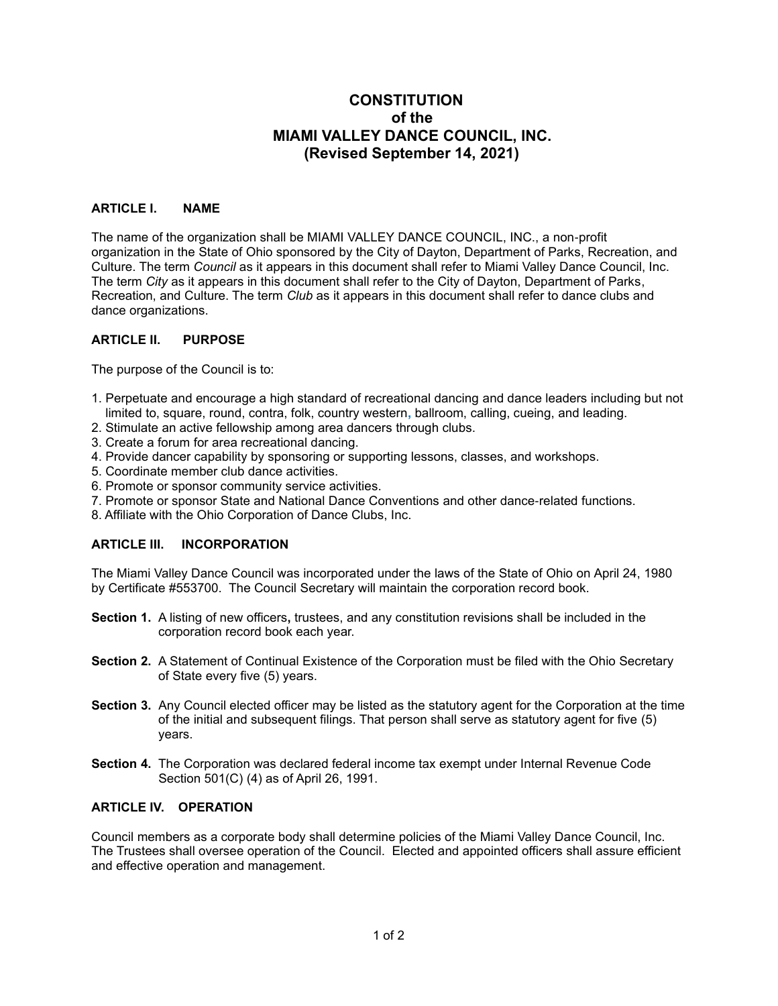# **CONSTITUTION**  *<u> of the contract of the contract of the contract of the contract of the contract of the contract of the contract of the contract of the contract of the contract of the contract of the contract of the contract of the con*</u>  **MIAMI VALLEY DANCE COUNCIL, INC. (Revised September 14, 2021)**

# **ARTICLE I. NAME**

The name of the organization shall be MIAMI VALLEY DANCE COUNCIL, INC., a non-profit organization in the State of Ohio sponsored by the City of Dayton, Department of Parks, Recreation, and Culture. The term *Council* as it appears in this document shall refer to Miami Valley Dance Council, Inc. The term *City* as it appears in this document shall refer to the City of Dayton, Department of Parks, Recreation, and Culture. The term *Club* as it appears in this document shall refer to dance clubs and dance organizations.

### **ARTICLE II. PURPOSE**

The purpose of the Council is to:

- 1. Perpetuate and encourage a high standard of recreational dancing and dance leaders including but not limited to, square, round, contra, folk, country western**,** ballroom, calling, cueing, and leading.
- 2. Stimulate an active fellowship among area dancers through clubs.
- 3. Create a forum for area recreational dancing.
- 4. Provide dancer capability by sponsoring or supporting lessons, classes, and workshops.
- 5. Coordinate member club dance activities.
- 6. Promote or sponsor community service activities.
- 7. Promote or sponsor State and National Dance Conventions and other dance-related functions.
- 8. Affiliate with the Ohio Corporation of Dance Clubs, Inc.

### **ARTICLE III. INCORPORATION**

The Miami Valley Dance Council was incorporated under the laws of the State of Ohio on April 24, 1980 by Certificate #553700. The Council Secretary will maintain the corporation record book.

- **Section 1.** A listing of new officers**,** trustees, and any constitution revisions shall be included in the corporation record book each year.
- **Section 2.** A Statement of Continual Existence of the Corporation must be filed with the Ohio Secretary of State every five (5) years.
- **Section 3.** Any Council elected officer may be listed as the statutory agent for the Corporation at the time of the initial and subsequent filings. That person shall serve as statutory agent for five (5) years.
- **Section 4.** The Corporation was declared federal income tax exempt under Internal Revenue Code Section 501(C) (4) as of April 26, 1991.

### **ARTICLE IV. OPERATION**

Council members as a corporate body shall determine policies of the Miami Valley Dance Council, Inc. The Trustees shall oversee operation of the Council. Elected and appointed officers shall assure efficient and effective operation and management.